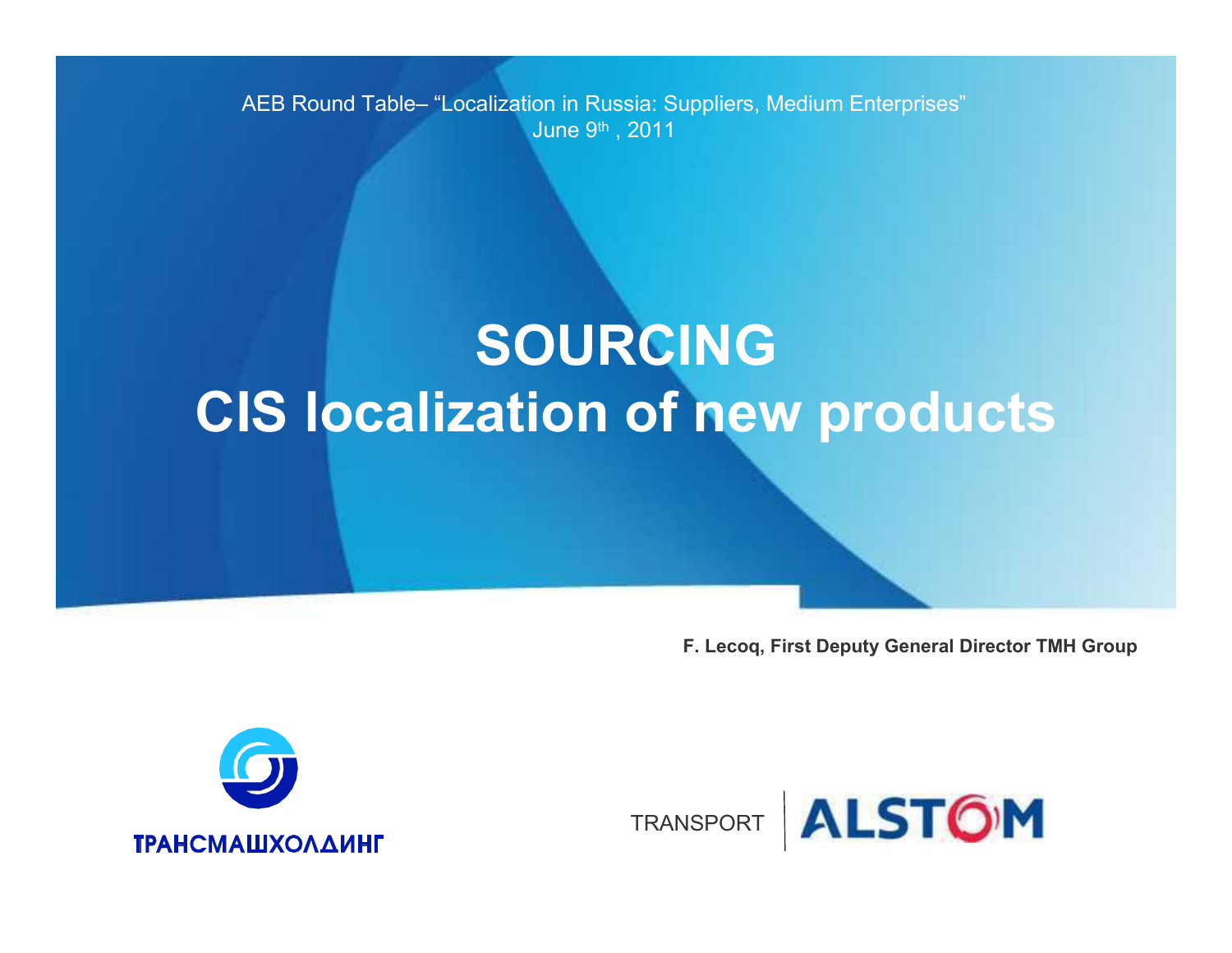AEB Round Table– "Localization in Russia: Suppliers, Medium Enterprises" June 9th , 2011

# **SOURCINGCIS localization of new products**

**F. Lecoq, First Deputy General Director TMH Group**



TRANSPORT

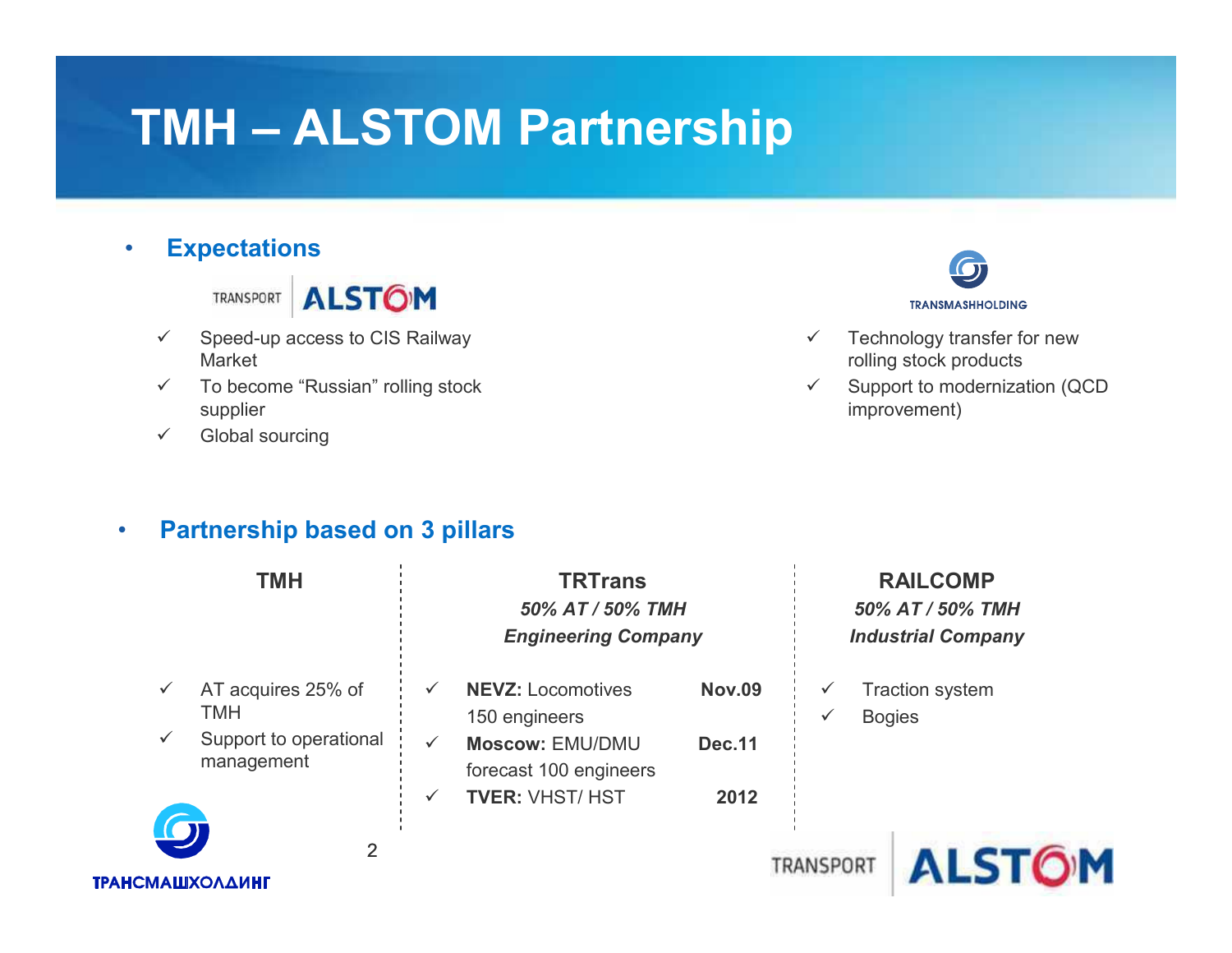# **TMH – ALSTOM Partnership**

### •**Expectations**

TRANSPORT ALSTOM

- $\checkmark$  Speed-up access to CIS Railway Market
- $\checkmark$  To become "Russian" rolling stock supplier
- $\checkmark$ Global sourcing



- $\checkmark$  Technology transfer for new rolling stock products
- $\checkmark$  Support to modernization (QCD  $\checkmark$ improvement)

### •**Partnership based on 3 pillars**

| <b>TMH</b>                                                                          | <b>TRTrans</b><br>50% AT / 50% TMH<br><b>Engineering Company</b>                                    |                                | <b>RAILCOMP</b><br>50% AT / 50% TMH<br><b>Industrial Company</b> |                                         |
|-------------------------------------------------------------------------------------|-----------------------------------------------------------------------------------------------------|--------------------------------|------------------------------------------------------------------|-----------------------------------------|
| AT acquires 25% of<br>$\checkmark$<br>TMH<br>Support to operational<br>$\checkmark$ | <b>NEVZ: Locomotives</b><br>$\checkmark$<br>150 engineers<br><b>Moscow: EMU/DMU</b><br>$\checkmark$ | <b>Nov.09</b><br><b>Dec.11</b> |                                                                  | <b>Traction system</b><br><b>Bogies</b> |
| management                                                                          | forecast 100 engineers<br><b>TVER: VHST/ HST</b><br>$\checkmark$                                    | 2012                           |                                                                  |                                         |
| 2<br><b>ТРАНСМАШХОЛДИНГ</b>                                                         |                                                                                                     |                                | TRANSPORT                                                        |                                         |

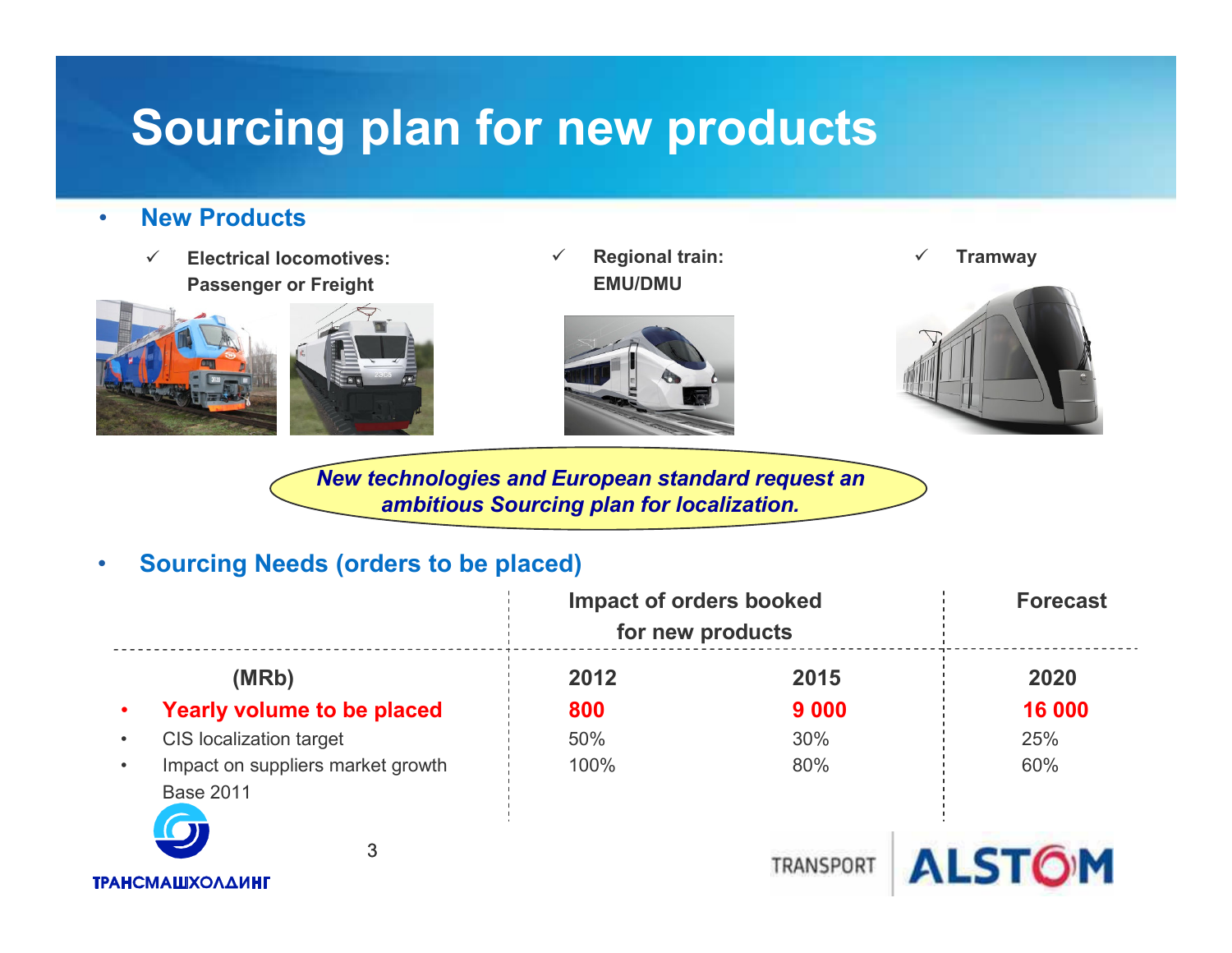# **Sourcing plan for new products**

#### •**New Products**

 $\checkmark$  **Electrical locomotives: Passenger or Freight**



 $\checkmark$  **Regional train: EMU/DMU**



✓ **Tramway**



*New technologies and European standard request an ambitious Sourcing plan for localization.*

#### $\bullet$ **Sourcing Needs (orders to be placed)**

|                                                                    | <b>Impact of orders booked</b><br>for new products |           | <b>Forecast</b> |  |
|--------------------------------------------------------------------|----------------------------------------------------|-----------|-----------------|--|
| (MRb)                                                              | 2012                                               | 2015      | 2020            |  |
| <b>Yearly volume to be placed</b><br>$\bullet$                     | 800                                                | 9 0 0 0   | 16 000          |  |
| <b>CIS localization target</b><br>$\bullet$                        | 50%                                                | 30%       | 25%             |  |
| Impact on suppliers market growth<br>$\bullet$<br><b>Base 2011</b> | 100%                                               | 80%       | 60%             |  |
| $\boldsymbol{\omega}$<br>3<br><b>ТРАНСМАШХОЛДИНГ</b>               |                                                    | TRANSPORT | <b>ALSTOM</b>   |  |